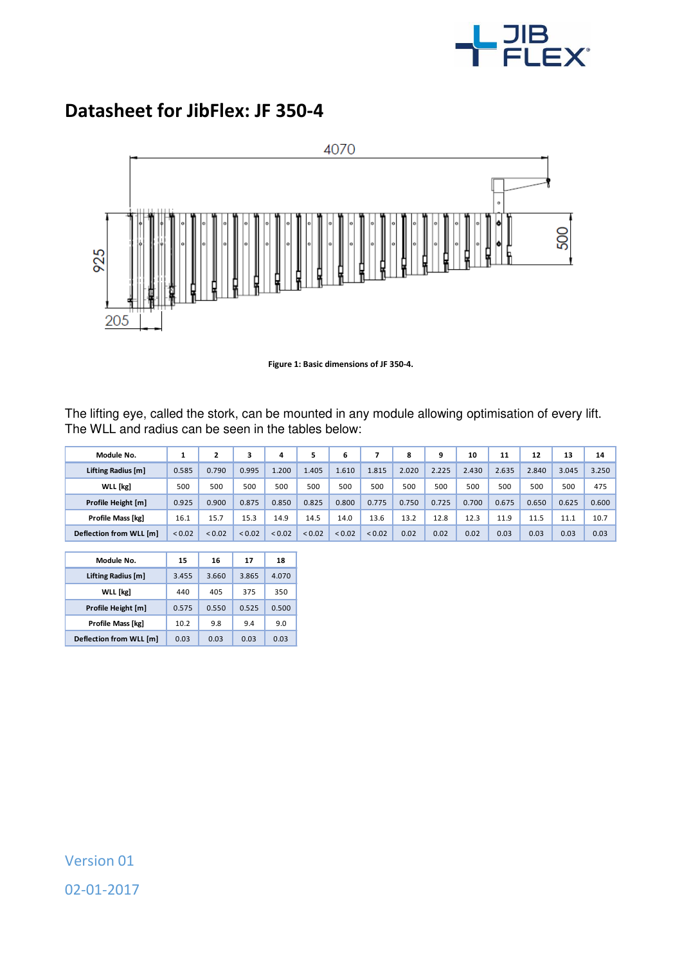

## **Datasheet for JibFlex: JF 350-4**



**Figure 1: Basic dimensions of JF 350-4.** 

The lifting eye, called the stork, can be mounted in any module allowing optimisation of every lift. The WLL and radius can be seen in the tables below:

| Module No.              |        | 2           |             | 4           |        | 6           |        | 8     | 9     | 10    | 11    | 12    | 13    | 14    |
|-------------------------|--------|-------------|-------------|-------------|--------|-------------|--------|-------|-------|-------|-------|-------|-------|-------|
| Lifting Radius [m]      | 0.585  | 0.790       | 0.995       | .200        | 1.405  | 1.610       | 1.815  | 2.020 | 2.225 | 2.430 | 2.635 | 2.840 | 3.045 | 3.250 |
| <b>WLL</b> [kg]         | 500    | 500         | 500         | 500         | 500    | 500         | 500    | 500   | 500   | 500   | 500   | 500   | 500   | 475   |
| Profile Height [m]      | 0.925  | 0.900       | 0.875       | 0.850       | 0.825  | 0.800       | 0.775  | 0.750 | 0.725 | 0.700 | 0.675 | 0.650 | 0.625 | 0.600 |
| Profile Mass [kg]       | 16.1   | 15.7        | 15.3        | 14.9        | 14.5   | 14.0        | 13.6   | 13.2  | 12.8  | 12.3  | 11.9  | 11.5  | 11.1  | 10.7  |
| Deflection from WLL [m] | < 0.02 | ${}_{0.02}$ | ${}_{0.02}$ | ${}_{0.02}$ | < 0.02 | ${}_{0.02}$ | < 0.02 | 0.02  | 0.02  | 0.02  | 0.03  | 0.03  | 0.03  | 0.03  |

I

| Module No.               | 15    | 16    | 17    | 18    |
|--------------------------|-------|-------|-------|-------|
| Lifting Radius [m]       | 3.455 | 3.660 | 3.865 | 4.070 |
| <b>WLL</b> [kg]          | 440   | 405   | 375   | 350   |
| Profile Height [m]       | 0.575 | 0.550 | 0.525 | 0.500 |
| <b>Profile Mass [kg]</b> | 10.2  | 9.8   | 9.4   | 9.0   |
| Deflection from WLL [m]  | 0.03  | 0.03  | 0.03  | 0.03  |

Version 01 02-01-2017